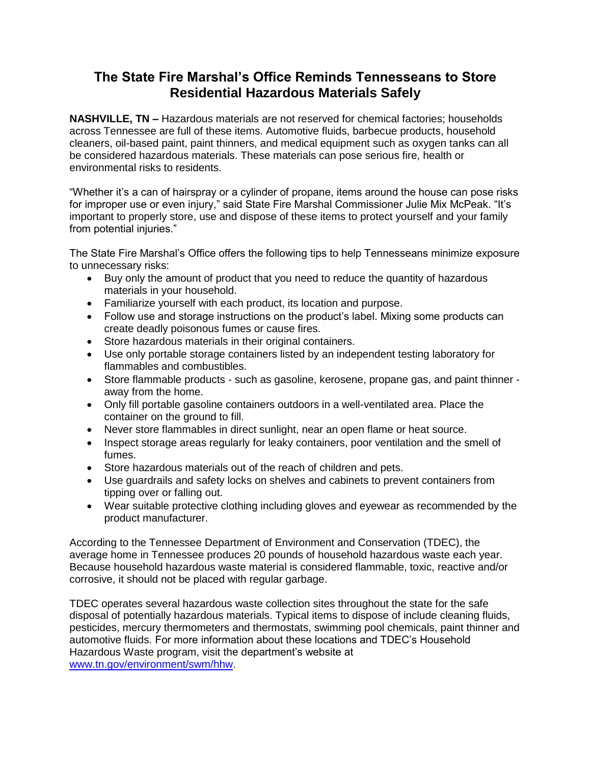## **The State Fire Marshal's Office Reminds Tennesseans to Store Residential Hazardous Materials Safely**

**NASHVILLE, TN –** Hazardous materials are not reserved for chemical factories; households across Tennessee are full of these items. Automotive fluids, barbecue products, household cleaners, oil-based paint, paint thinners, and medical equipment such as oxygen tanks can all be considered hazardous materials. These materials can pose serious fire, health or environmental risks to residents.

"Whether it's a can of hairspray or a cylinder of propane, items around the house can pose risks for improper use or even injury," said State Fire Marshal Commissioner Julie Mix McPeak. "It's important to properly store, use and dispose of these items to protect yourself and your family from potential injuries."

The State Fire Marshal's Office offers the following tips to help Tennesseans minimize exposure to unnecessary risks:

- Buy only the amount of product that you need to reduce the quantity of hazardous materials in your household.
- Familiarize yourself with each product, its location and purpose.
- Follow use and storage instructions on the product's label. Mixing some products can create deadly poisonous fumes or cause fires.
- Store hazardous materials in their original containers.
- Use only portable storage containers listed by an independent testing laboratory for flammables and combustibles.
- Store flammable products such as gasoline, kerosene, propane gas, and paint thinner away from the home.
- Only fill portable gasoline containers outdoors in a well-ventilated area. Place the container on the ground to fill.
- Never store flammables in direct sunlight, near an open flame or heat source.
- Inspect storage areas regularly for leaky containers, poor ventilation and the smell of fumes.
- Store hazardous materials out of the reach of children and pets.
- Use guardrails and safety locks on shelves and cabinets to prevent containers from tipping over or falling out.
- Wear suitable protective clothing including gloves and eyewear as recommended by the product manufacturer.

According to the Tennessee Department of Environment and Conservation (TDEC), the average home in Tennessee produces 20 pounds of household hazardous waste each year. Because household hazardous waste material is considered flammable, toxic, reactive and/or corrosive, it should not be placed with regular garbage.

TDEC operates several hazardous waste collection sites throughout the state for the safe disposal of potentially hazardous materials. Typical items to dispose of include cleaning fluids, pesticides, mercury thermometers and thermostats, swimming pool chemicals, paint thinner and automotive fluids. For more information about these locations and TDEC's Household Hazardous Waste program, visit the department's website at [www.tn.gov/environment/swm/hhw.](http://www.tn.gov/environment/swm/hhw)